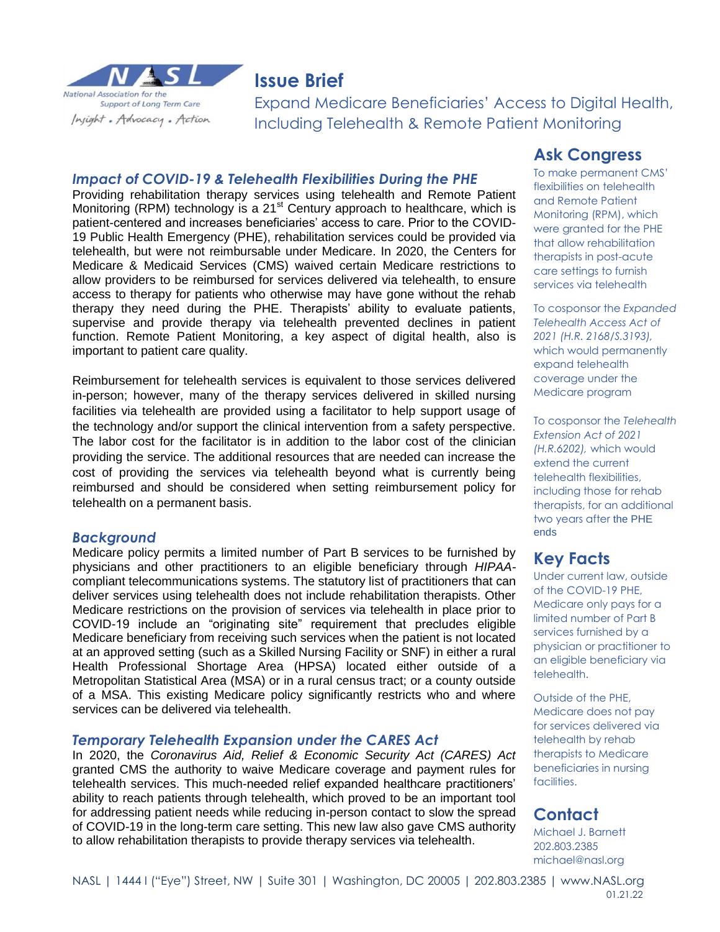

# **Issue Brief**

Expand Medicare Beneficiaries' Access to Digital Health, Including Telehealth & Remote Patient Monitoring

#### *Impact of COVID-19 & Telehealth Flexibilities During the PHE*

Providing rehabilitation therapy services using telehealth and Remote Patient Monitoring (RPM) technology is a 21<sup>st</sup> Century approach to healthcare, which is patient-centered and increases beneficiaries' access to care. Prior to the COVID-19 Public Health Emergency (PHE), rehabilitation services could be provided via telehealth, but were not reimbursable under Medicare. In 2020, the Centers for Medicare & Medicaid Services (CMS) waived certain Medicare restrictions to allow providers to be reimbursed for services delivered via telehealth, to ensure access to therapy for patients who otherwise may have gone without the rehab therapy they need during the PHE. Therapists' ability to evaluate patients, supervise and provide therapy via telehealth prevented declines in patient function. Remote Patient Monitoring, a key aspect of digital health, also is important to patient care quality.

Reimbursement for telehealth services is equivalent to those services delivered in-person; however, many of the therapy services delivered in skilled nursing facilities via telehealth are provided using a facilitator to help support usage of the technology and/or support the clinical intervention from a safety perspective. The labor cost for the facilitator is in addition to the labor cost of the clinician providing the service. The additional resources that are needed can increase the cost of providing the services via telehealth beyond what is currently being reimbursed and should be considered when setting reimbursement policy for telehealth on a permanent basis.

### *Background*

Medicare policy permits a limited number of Part B services to be furnished by physicians and other practitioners to an eligible beneficiary through *HIPAA*compliant telecommunications systems. The statutory list of practitioners that can deliver services using telehealth does not include rehabilitation therapists. Other Medicare restrictions on the provision of services via telehealth in place prior to COVID-19 include an "originating site" requirement that precludes eligible Medicare beneficiary from receiving such services when the patient is not located at an approved setting (such as a Skilled Nursing Facility or SNF) in either a rural Health Professional Shortage Area (HPSA) located either outside of a Metropolitan Statistical Area (MSA) or in a rural census tract; or a county outside of a MSA. This existing Medicare policy significantly restricts who and where services can be delivered via telehealth.

### *Temporary Telehealth Expansion under the CARES Act*

In 2020, the *Coronavirus Aid, Relief & Economic Security Act (CARES) Act* granted CMS the authority to waive Medicare coverage and payment rules for telehealth services. This much-needed relief expanded healthcare practitioners' ability to reach patients through telehealth, which proved to be an important tool for addressing patient needs while reducing in-person contact to slow the spread of COVID-19 in the long-term care setting. This new law also gave CMS authority to allow rehabilitation therapists to provide therapy services via telehealth.

### **Ask Congress**

To make permanent CMS' flexibilities on telehealth and Remote Patient Monitoring (RPM), which were granted for the PHE that allow rehabilitation therapists in post-acute care settings to furnish services via telehealth

To cosponsor the *Expanded Telehealth Access Act of 2021 (H.R. 2168/S.3193),* which would permanently expand telehealth coverage under the Medicare program

To cosponsor the *Telehealth Extension Act of 2021 (H.R.6202),* which would extend the current telehealth flexibilities, including those for rehab therapists, for an additional two years after the PHE ends

## **Key Facts**

Under current law, outside of the COVID-19 PHE, Medicare only pays for a limited number of Part B services furnished by a physician or practitioner to an eligible beneficiary via telehealth.

Outside of the PHE, Medicare does not pay for services delivered via telehealth by rehab therapists to Medicare beneficiaries in nursing facilities.

## **Contact**

Michael J. Barnett 202.803.2385 michael@nasl.org